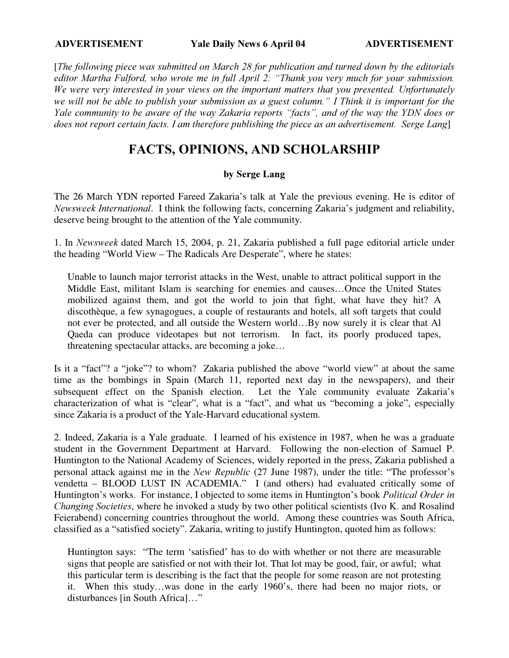[The following piece was submitted on March 28 for publication and turned down by the editorials editor Martha Fulford, who wrote me in full April 2: "Thank you very much for your submission. We were very interested in your views on the important matters that you presented. Unfortunately we will not be able to publish your submission as a guest column." I Think it is important for the Yale community to be aware of the way Zakaria reports "facts", and of the way the YDN does or does not report certain facts. I am therefore publishing the piece as an advertisement. Serge Lang

## FACTS, OPINIONS, AND SCHOLARSHIP

## by Serge Lang

The 26 March YDN reported Fareed Zakaria's talk at Yale the previous evening. He is editor of Newsweek International. I think the following facts, concerning Zakaria's judgment and reliability, deserve being brought to the attention of the Yale community.

1. In Newsweek dated March 15, 2004, p. 21, Zakaria published a full page editorial article under the heading "World View – The Radicals Are Desperate", where he states:

Unable to launch major terrorist attacks in the West, unable to attract political support in the Middle East, militant Islam is searching for enemies and causes…Once the United States mobilized against them, and got the world to join that fight, what have they hit? A discothèque, a few synagogues, a couple of restaurants and hotels, all soft targets that could not ever be protected, and all outside the Western world…By now surely it is clear that Al Qaeda can produce videotapes but not terrorism. In fact, its poorly produced tapes, threatening spectacular attacks, are becoming a joke…

Is it a "fact"? a "joke"? to whom? Zakaria published the above "world view" at about the same time as the bombings in Spain (March 11, reported next day in the newspapers), and their subsequent effect on the Spanish election. Let the Yale community evaluate Zakaria's characterization of what is "clear", what is a "fact", and what us "becoming a joke", especially since Zakaria is a product of the Yale-Harvard educational system.

2. Indeed, Zakaria is a Yale graduate. I learned of his existence in 1987, when he was a graduate student in the Government Department at Harvard. Following the non-election of Samuel P. Huntington to the National Academy of Sciences, widely reported in the press, Zakaria published a personal attack against me in the New Republic (27 June 1987), under the title: "The professor's vendetta – BLOOD LUST IN ACADEMIA." I (and others) had evaluated critically some of Huntington's works. For instance, I objected to some items in Huntington's book Political Order in Changing Societies, where he invoked a study by two other political scientists (Ivo K. and Rosalind Feierabend) concerning countries throughout the world. Among these countries was South Africa, classified as a "satisfied society". Zakaria, writing to justify Huntington, quoted him as follows:

Huntington says: "The term 'satisfied' has to do with whether or not there are measurable signs that people are satisfied or not with their lot. That lot may be good, fair, or awful; what this particular term is describing is the fact that the people for some reason are not protesting it. When this study…was done in the early 1960's, there had been no major riots, or disturbances [in South Africa]…"